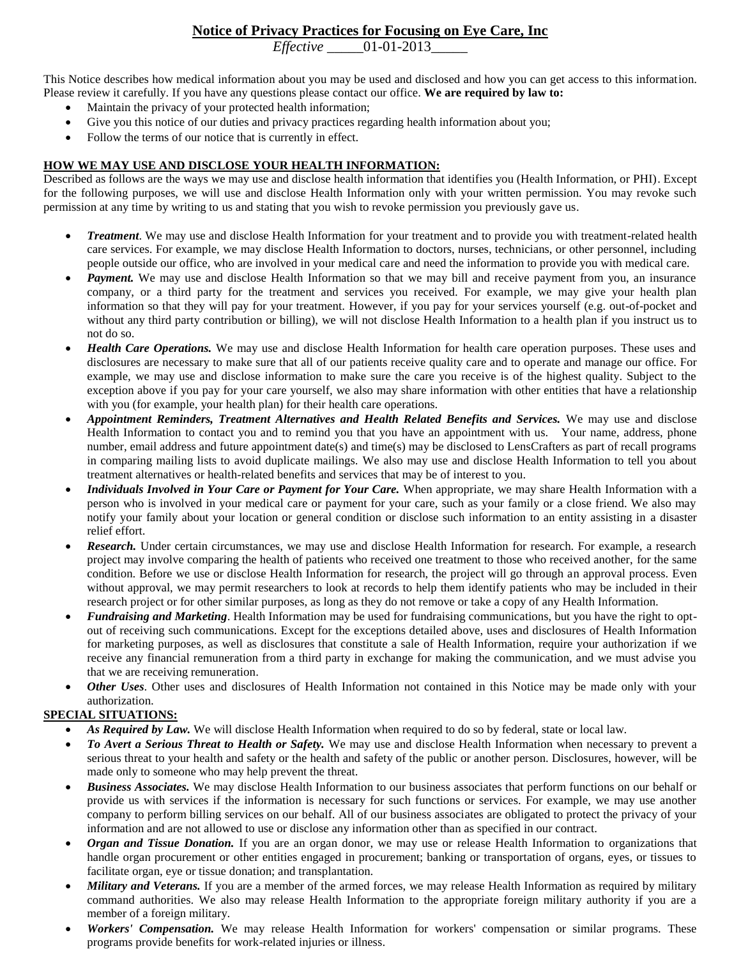# **Notice of Privacy Practices for Focusing on Eye Care, Inc**

*Effective* \_\_\_\_\_01-01-2013\_\_\_\_\_

This Notice describes how medical information about you may be used and disclosed and how you can get access to this information. Please review it carefully. If you have any questions please contact our office. **We are required by law to:**

- Maintain the privacy of your protected health information;
- Give you this notice of our duties and privacy practices regarding health information about you;
- Follow the terms of our notice that is currently in effect.

## **HOW WE MAY USE AND DISCLOSE YOUR HEALTH INFORMATION:**

Described as follows are the ways we may use and disclose health information that identifies you (Health Information, or PHI). Except for the following purposes, we will use and disclose Health Information only with your written permission. You may revoke such permission at any time by writing to us and stating that you wish to revoke permission you previously gave us.

- *Treatment*. We may use and disclose Health Information for your treatment and to provide you with treatment-related health care services. For example, we may disclose Health Information to doctors, nurses, technicians, or other personnel, including people outside our office, who are involved in your medical care and need the information to provide you with medical care.
- *Payment.* We may use and disclose Health Information so that we may bill and receive payment from you, an insurance company, or a third party for the treatment and services you received. For example, we may give your health plan information so that they will pay for your treatment. However, if you pay for your services yourself (e.g. out-of-pocket and without any third party contribution or billing), we will not disclose Health Information to a health plan if you instruct us to not do so.
- *Health Care Operations.* We may use and disclose Health Information for health care operation purposes. These uses and disclosures are necessary to make sure that all of our patients receive quality care and to operate and manage our office. For example, we may use and disclose information to make sure the care you receive is of the highest quality. Subject to the exception above if you pay for your care yourself, we also may share information with other entities that have a relationship with you (for example, your health plan) for their health care operations.
- *Appointment Reminders, Treatment Alternatives and Health Related Benefits and Services.* We may use and disclose Health Information to contact you and to remind you that you have an appointment with us. Your name, address, phone number, email address and future appointment date(s) and time(s) may be disclosed to LensCrafters as part of recall programs in comparing mailing lists to avoid duplicate mailings. We also may use and disclose Health Information to tell you about treatment alternatives or health-related benefits and services that may be of interest to you.
- *Individuals Involved in Your Care or Payment for Your Care.* When appropriate, we may share Health Information with a person who is involved in your medical care or payment for your care, such as your family or a close friend. We also may notify your family about your location or general condition or disclose such information to an entity assisting in a disaster relief effort.
- *Research.* Under certain circumstances, we may use and disclose Health Information for research. For example, a research project may involve comparing the health of patients who received one treatment to those who received another, for the same condition. Before we use or disclose Health Information for research, the project will go through an approval process. Even without approval, we may permit researchers to look at records to help them identify patients who may be included in their research project or for other similar purposes, as long as they do not remove or take a copy of any Health Information.
- *Fundraising and Marketing*. Health Information may be used for fundraising communications, but you have the right to optout of receiving such communications. Except for the exceptions detailed above, uses and disclosures of Health Information for marketing purposes, as well as disclosures that constitute a sale of Health Information, require your authorization if we receive any financial remuneration from a third party in exchange for making the communication, and we must advise you that we are receiving remuneration.
- *Other Uses*. Other uses and disclosures of Health Information not contained in this Notice may be made only with your authorization.

## **SPECIAL SITUATIONS:**

- *As Required by Law.* We will disclose Health Information when required to do so by federal, state or local law.
- *To Avert a Serious Threat to Health or Safety.* We may use and disclose Health Information when necessary to prevent a serious threat to your health and safety or the health and safety of the public or another person. Disclosures, however, will be made only to someone who may help prevent the threat.
- *Business Associates.* We may disclose Health Information to our business associates that perform functions on our behalf or provide us with services if the information is necessary for such functions or services. For example, we may use another company to perform billing services on our behalf. All of our business associates are obligated to protect the privacy of your information and are not allowed to use or disclose any information other than as specified in our contract.
- *Organ and Tissue Donation.* If you are an organ donor, we may use or release Health Information to organizations that handle organ procurement or other entities engaged in procurement; banking or transportation of organs, eyes, or tissues to facilitate organ, eye or tissue donation; and transplantation.
- *Military and Veterans.* If you are a member of the armed forces, we may release Health Information as required by military command authorities. We also may release Health Information to the appropriate foreign military authority if you are a member of a foreign military.
- *Workers' Compensation.* We may release Health Information for workers' compensation or similar programs. These programs provide benefits for work-related injuries or illness.